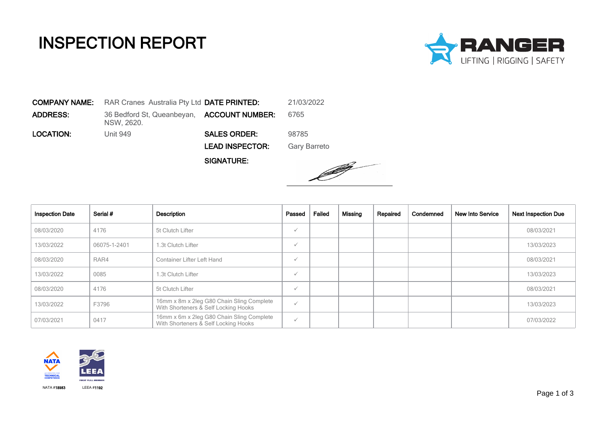## INSPECTION REPORT



COMPANY NAME: RAR Cranes Australia Pty Ltd DATE PRINTED: 21/03/2022 **ADDRESS:** 36 Bedford St, Queanbeyan, **ACCOUNT NUMBER:** 6765 NSW, 2620. LOCATION: Unit 949 SALES ORDER: 98785 LEAD INSPECTOR: Gary Barreto

SIGNATURE:



| <b>Inspection Date</b> | Serial #     | Description                                                                       | Passed       | Failed | Missing | Repaired | Condemned | <b>New Into Service</b> | <b>Next Inspection Due</b> |
|------------------------|--------------|-----------------------------------------------------------------------------------|--------------|--------|---------|----------|-----------|-------------------------|----------------------------|
| 08/03/2020             | 4176         | 5t Clutch Lifter                                                                  | $\checkmark$ |        |         |          |           |                         | 08/03/2021                 |
| 13/03/2022             | 06075-1-2401 | 1.3t Clutch Lifter                                                                | $\checkmark$ |        |         |          |           |                         | 13/03/2023                 |
| 08/03/2020             | RAR4         | Container Lifter Left Hand                                                        | $\checkmark$ |        |         |          |           |                         | 08/03/2021                 |
| 13/03/2022             | 0085         | 1.3t Clutch Lifter                                                                | $\checkmark$ |        |         |          |           |                         | 13/03/2023                 |
| 08/03/2020             | 4176         | 5t Clutch Lifter                                                                  | $\checkmark$ |        |         |          |           |                         | 08/03/2021                 |
| 13/03/2022             | F3796        | 16mm x 8m x 2leg G80 Chain Sling Complete<br>With Shorteners & Self Locking Hooks | $\checkmark$ |        |         |          |           |                         | 13/03/2023                 |
| 07/03/2021             | 0417         | 16mm x 6m x 2leg G80 Chain Sling Complete<br>With Shorteners & Self Locking Hooks | $\checkmark$ |        |         |          |           |                         | 07/03/2022                 |

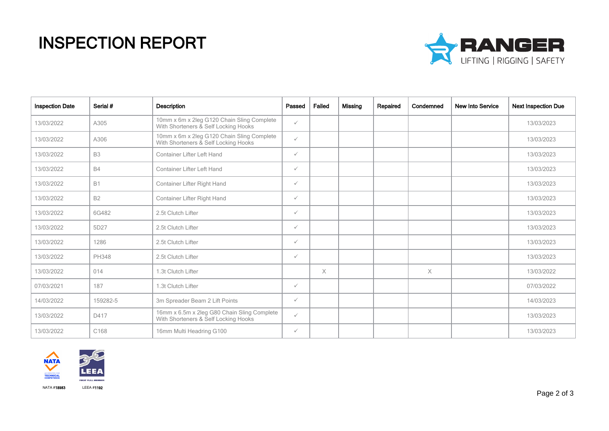## INSPECTION REPORT



| <b>Inspection Date</b> | Serial #         | <b>Description</b>                                                                  | Passed       | Failed   | Missina | Repaired | Condemned | <b>New Into Service</b> | <b>Next Inspection Due</b> |
|------------------------|------------------|-------------------------------------------------------------------------------------|--------------|----------|---------|----------|-----------|-------------------------|----------------------------|
| 13/03/2022             | A305             | 10mm x 6m x 2leg G120 Chain Sling Complete<br>With Shorteners & Self Locking Hooks  | $\checkmark$ |          |         |          |           |                         | 13/03/2023                 |
| 13/03/2022             | A306             | 10mm x 6m x 2leg G120 Chain Sling Complete<br>With Shorteners & Self Locking Hooks  | $\checkmark$ |          |         |          |           |                         | 13/03/2023                 |
| 13/03/2022             | <b>B3</b>        | <b>Container Lifter Left Hand</b>                                                   | $\checkmark$ |          |         |          |           |                         | 13/03/2023                 |
| 13/03/2022             | <b>B4</b>        | <b>Container Lifter Left Hand</b>                                                   | $\checkmark$ |          |         |          |           |                         | 13/03/2023                 |
| 13/03/2022             | <b>B1</b>        | Container Lifter Right Hand                                                         | $\checkmark$ |          |         |          |           |                         | 13/03/2023                 |
| 13/03/2022             | <b>B2</b>        | Container Lifter Right Hand                                                         | $\checkmark$ |          |         |          |           |                         | 13/03/2023                 |
| 13/03/2022             | 6G482            | 2.5t Clutch Lifter                                                                  | $\checkmark$ |          |         |          |           |                         | 13/03/2023                 |
| 13/03/2022             | 5D27             | 2.5t Clutch Lifter                                                                  | $\checkmark$ |          |         |          |           |                         | 13/03/2023                 |
| 13/03/2022             | 1286             | 2.5t Clutch Lifter                                                                  | $\checkmark$ |          |         |          |           |                         | 13/03/2023                 |
| 13/03/2022             | <b>PH348</b>     | 2.5t Clutch Lifter                                                                  | $\checkmark$ |          |         |          |           |                         | 13/03/2023                 |
| 13/03/2022             | 014              | 1.3t Clutch Lifter                                                                  |              | $\times$ |         |          | $\times$  |                         | 13/03/2022                 |
| 07/03/2021             | 187              | 1.3t Clutch Lifter                                                                  | $\checkmark$ |          |         |          |           |                         | 07/03/2022                 |
| 14/03/2022             | 159282-5         | 3m Spreader Beam 2 Lift Points                                                      | $\checkmark$ |          |         |          |           |                         | 14/03/2023                 |
| 13/03/2022             | D417             | 16mm x 6.5m x 2leg G80 Chain Sling Complete<br>With Shorteners & Self Locking Hooks | $\checkmark$ |          |         |          |           |                         | 13/03/2023                 |
| 13/03/2022             | C <sub>168</sub> | 16mm Multi Headring G100                                                            | $\checkmark$ |          |         |          |           |                         | 13/03/2023                 |